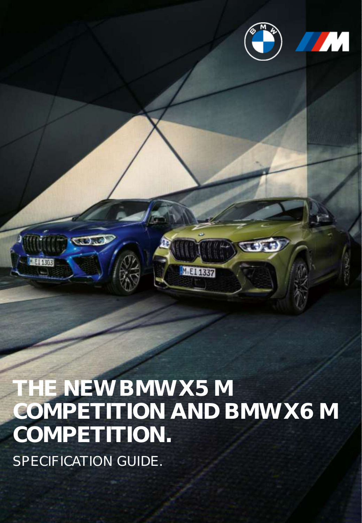

 $70.52$ 



**THE NEW BMW X5 M COMPETITION AND BMW X6 M COMPETITION.** SPECIFICATION GUIDE.

MEI 1337

 $\bigcirc$ 

 $-1130$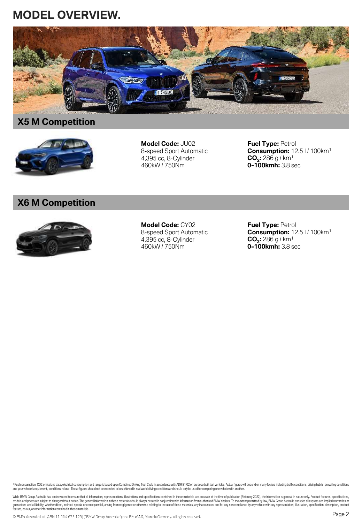# **MODEL OVERVIEW.**



# **X5 M Competition**



**Model Code:** JU02 8-speed Sport Automatic 4,395 cc, 8-Cylinder 460kW / 750Nm

**Fuel Type:** Petrol **Consumption:** 12.5 l / 100km<sup>1</sup> **CO<sup>2</sup> :** 286 g / km<sup>1</sup> **0-100kmh:** 3.8 sec

# **X6 M Competition**



**Model Code:** CY02 8-speed Sport Automatic 4,395 cc, 8-Cylinder 460kW / 750Nm

**Fuel Type:** Petrol **Consumption:** 12.5 l / 100km<sup>1</sup> **CO<sup>2</sup> :** 286 g / km<sup>1</sup> **0-100kmh:** 3.8 sec

<sup>1</sup> Fuel consumption, CO2 emissions data, electrical consumption and range is based upon Combined Driving Test Cycle in accordance with ADR 81/02 on purpose built test vehicles. Actual figures will depend on many factors i

While BMW Group Australia has endeavoured to ensure that all information, representations, illustrations and specifications contained in these materials are accurate at the time of publication (Fortuary 2022), the informat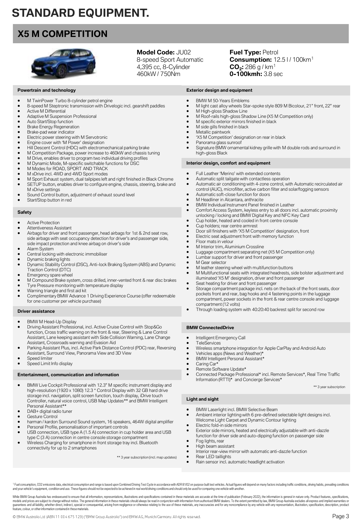# **STANDARD EQUIPMENT.**

# **X5 M COMPETITION**



## **Model Code:** JU02

8-speed Sport Automatic 4,395 cc, 8-Cylinder 460kW / 750Nm

**Fuel Type: Petrol Consumption:** 12.5 l / 100km<sup>1</sup> **CO<sup>2</sup> :** 286 g / km<sup>1</sup> **0-100kmh:** 3.8 sec

- M TwinPower Turbo 8-cylinder petrol engine
- 8-speed M Steptronic transmission with Drivelogic incl. gearshift paddles • Active M Differential
- Adaptive M Suspension Professional
- Auto Start/Stop function
- Brake Energy Regeneration

**Powertrain and technology**

- Brake-pad wear indicator
- 
- Electric power steering with M Servotronic Engine cover with 'M Power' designation
- Hill Descent Control (HDC) with electromechanical parking brake
- M Competition Package, power increase to 460kW and chassis tuning
- M Drive, enables driver to program two individual driving profiles
- M Dynamic Mode, M-specific switchable functions for DSC
- M Modes for ROAD, SPORT AND TRACK
- M xDrive incl. 4WD and 4WD Sport modes
- M Sport Exhaust system, dual tailpipes left and right finished in Black Chrome
- SETUP button, enables driver to configure engine, chassis, steering, brake and M xDrive settings
- Sound Control button, adjustment of exhaust sound level
- Start/Stop button in red

#### **Safety**

- Active Protection
- Attentiveness Assistant
- Airbags for driver and front passenger, head airbags for 1st & 2nd seat row, side airbags with seat occupancy detection for driver's and passenger side, side impact protection and knee airbag on driver's side
- Alarm System
- Central locking with electronic immobiliser Dynamic braking lights
- Dynamic Stability Control (DSC), Anti-lock Braking System (ABS) and Dynamic Traction Control (DTC)
- Emergency spare wheel
- M Compound Brake system, cross drilled, inner-vented front & rear disc brakes
- Tyre Pressure monitoring with temperature display
- Warning triangle and first aid kit
- Complimentary BMW Advance 1 Driving Experience Course (offer redeemable for one customer per vehicle purchase)

#### **Driver assistance**

- 
- BMW M Head-Up Display Driving Assistant Professional, incl. Active Cruise Control with Stop&Go function, Cross traffic warning on the front & rear, Steering & Lane Control Assistant, Lane keeping assistant with Side Collision Warning, Lane Change Assistant, Crossroads warning and Evasion Aid
- Parking Assistant Plus, incl. Active Park Distance Control (PDC) rear, Reversing Assistant, Surround View, Panorama View and 3D View
- Speed limiter
- Speed Limit Info display

#### **Entertainment, communication and information**

- BMW Live Cockpit Professional with 12.3" M specific instrument display and high-resolution (1920 x 1080) 12.3 " Control Display with 32 GB hard drive storage incl. navigation, split screen function, touch display, iDrive touch Controller, natural voice control, USB Map Updates\*\* and BMW Intelligent Personal Assistant\*\*
- DAB+ digital radio tuner

feature, colour, or other information contained in thesematerials.

- Gesture Control
- harman / kardon Surround Sound system, 16 speakers, 464W digital amplifier
- Personal Profile, personalisation of important controls USB connection, USB type A (1.5 A) connection in cup holder area and USB
- type C (3 A) connection in centre console storage compartment

© BMW Australia Ltd (ABN 11 004 675 129) ("BMW Group Australia") and BMW AG, Munich/Germany. All rights reserved.

• Wireless Charging for smartphone in front storage tray incl. Bluetooth connectivity for up to 2 smartphones

\*\* 3 year subscription (incl. map updates)

- **Exterior design and equipment**
- BMW M 50-Years Emblems • M light cast alloy wheels Star-spoke style 809 M Bicolour, 21" front, 22" rear
- M High-gloss Shadow Line
- M Roof-rails high-gloss Shadow Line (X5 M Competition only)
- M specific exterior mirrors finished in black
- M side gills finished in black
- Metallic paintwork
- 'X5 M Competition' designation on rear in black
- Panorama glass sunroof
- Signature BMW ornamental kidney grille with M double rods and surround in high-gloss Black

#### **Interior design, comfort and equipment**

- Full Leather 'Merino' with extended contents
- Automatic split tailgate with contactless operation
- Automatic air conditioning with 4-zone control, with Automatic recirculated air control (AUC), microfilter, active carbon filter and solar/fogging sensors
- Automatic soft-close function for doors
- M Headliner in Alcantara, anthracite
- BMW Individual Instrument Panel finished in Leather
- Comfort Access System, keyless entry to all doors incl. automatic proximity unlocking / locking and BMW Digital Key and NFC Key Card
- Cup holder, heated and cooled in front centre console
- Cup holders; rear centre armrest
- Door sill finishers with 'X5 M Competition' designation, front
- Electric seat adjustment front with memory function
- Floor mats in velour
- M Interior trim, Aluminium Crossline
- Luggage compartment separating net (X5 M Competition only)
- Lumbar support for driver and front passenger
- M Gear selector
- M leather steering wheel with multifunction buttons • M Multifunctional seats with integrated headrests, side bolster adjustment and illuminated 'X5 M' designation, driver and front passenger
- Seat heating for driver and front passenger
- Storage compartment package incl. nets on the back of the front seats, door pockets front and rear, bag hooks and 4 fastening points in the luggage compartment, power sockets in the front & rear centre console and luggage compartment (12 volts)
- Through loading system with 40:20:40 backrest split for second row

## **BMW ConnectedDrive**

- Intelligent Emergency Call
- **TeleServices**
- Wireless smartphone integration for Apple CarPlay and Android Auto
- Vehicles apps (News and Weather)\*
- BMW Intelligent Personal Assistant\*
- Caring Car\*
- Remote Software Update\* • Connected Package Professional\* incl. Remote Services\*, Real Time Traffic Information (RTTI)\* and Concierge Services\*

\*\* 3 year subscription

Page 3

#### **Light and sight**

- BMW Laserlight incl. BMW Selective Beam
- Ambient interior lighting with 6 pre-defined selectable light designs incl. Welcome Light Carpet and Dynamic Contour lighting
- Electric fold-in side mirrors
- Exterior side mirrors, heated and electrically adjustable with anti-dazzle
- function for driver side and auto-dipping function on passenger side
- Fog lights, rear • High beam assistant

<sup>1</sup> Fuel consumption, CO2 emissions data, electrical consumption and range is based upon Combined Driving Test Cycle in accordance with ADR 81/02 on purpose built test vehicles. Actual figures will depend on many factors i While BMW Group Australia has endeavoured to ensure that all information, representations, illustations and specifications contained in these materials are accurate at the time of publication (February 2022), the informati guarantees and all lability, whether direct, indice(; because the consequential, arising from negligence or otherwise relation of these end these materials, any inaccuracies and for any noncomplance by any vehicle with any

Rear LED taillights

Interior rear-view mirror with automatic anti-dazzle function

Rain sensor incl. automatic headlight activation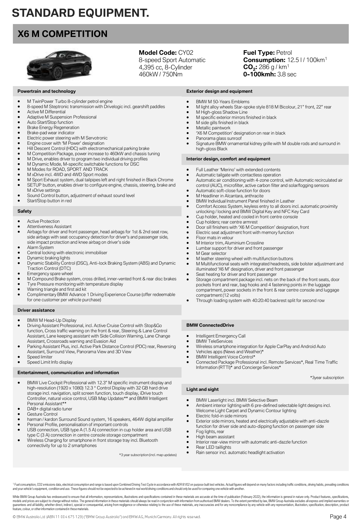# **STANDARD EQUIPMENT.**

# **X6 M COMPETITION**



## **Model Code:** CY02

8-speed Sport Automatic 4,395 cc, 8-Cylinder 460kW / 750Nm

**Fuel Type: Petrol Consumption:** 12.5 l / 100km<sup>1</sup> **CO<sup>2</sup> :** 286 g / km<sup>1</sup> **0-100kmh:** 3.8 sec

#### **Powertrain and technology**

- M TwinPower Turbo 8-cylinder petrol engine
- 8-speed M Steptronic transmission with Drivelogic incl. gearshift paddles **Active M Differential**
- Adaptive M Suspension Professional
- Auto Start/Stop function
- Brake Energy Regeneration
- Brake-pad wear indicator
- Electric power steering with M Servotronic
- Engine cover with 'M Power' designation
- Hill Descent Control (HDC) with electromechanical parking brake
- M Competition Package, power increase to 460kW and chassis tuning
- M Drive, enables driver to program two individual driving profiles
- M Dynamic Mode, M-specific switchable functions for DSC
- M Modes for ROAD, SPORT AND TRACK
- M xDrive incl. 4WD and 4WD Sport modes
- M Sport Exhaust system, dual tailpipes left and right finished in Black Chrome SETUP button, enables driver to configure engine, chassis, steering, brake and
- M xDrive settings
- Sound Control button, adjustment of exhaust sound level
- Start/Stop button in red

#### **Safety**

- **Active Protection**
- Attentiveness Assistant • Airbags for driver and front passenger, head airbags for 1st & 2nd seat row, side airbags with seat occupancy detection for driver's and passenger side,
- side impact protection and knee airbag on driver's side • Alarm System
- Central locking with electronic immobiliser
- Dynamic braking lights
- Dynamic Stability Control (DSC), Anti-lock Braking System (ABS) and Dynamic Traction Control (DTC)
- Emergency spare wheel
- M Compound Brake system, cross drilled, inner-vented front & rear disc brakes • Tyre Pressure monitoring with temperature display
- Warning triangle and first aid kit
- Complimentary BMW Advance 1 Driving Experience Course (offer redeemable for one customer per vehicle purchase)
- **Driver assistance**
- BMW M Head-Up Display
- Driving Assistant Professional, incl. Active Cruise Control with Stop&Go function, Cross traffic warning on the front & rear, Steering & Lane Control Assistant, Lane keeping assistant with Side Collision Warning, Lane Change Assistant, Crossroads warning and Evasion Aid
- Parking Assistant Plus, incl. Active Park Distance Control (PDC) rear, Reversing Assistant, Surround View, Panorama View and 3D View
- Speed limiter Speed Limit Info display

# **Entertainment, communication and information**

- BMW Live Cockpit Professional with 12.3" M specific instrument display and high-resolution (1920 x 1080) 12.3 " Control Display with 32 GB hard drive storage incl. navigation, split screen function, touch display, iDrive touch Controller, natural voice control, USB Map Updates\*\* and BMW Intelligent
- Personal Assistant\*\*
- DAB+ digital radio tuner
- Gesture Control
- harman / kardon Surround Sound system, 16 speakers, 464W digital amplifier Personal Profile, personalisation of important controls
- USB connection, USB type A (1.5 A) connection in cup holder area and USB type C (3 A) connection in centre console storage compartment

© BMW Australia Ltd (ABN 11 004 675 129) ("BMW Group Australia") and BMW AG, Munich/Germany. All rights reserved.

• Wireless Charging for smartphone in front storage tray incl. Bluetooth connectivity for up to 2 smartphones

\*3 year subscription (incl. map updates)

- **Exterior design and equipment** • BMW M 50-Years Emblems
- M light alloy wheels Star-spoke style 818 M Bicolour, 21" front, 22" rear
- M High-gloss Shadow Line
- M specific exterior mirrors finished in black
- M side gills finished in black
- Metallic paintwork
- 'X6 M Competition' designation on rear in black
- Panorama glass sunroof
- Signature BMW ornamental kidney grille with M double rods and surround in high-gloss Black

#### **Interior design, comfort and equipment**

- Full Leather 'Merino' with extended contents
- Automatic tailgate with contactless operation
- Automatic air conditioning with 4-zone control, with Automatic recirculated air control (AUC), microfilter, active carbon filter and solar/fogging sensors
- Automatic soft-close function for doors
- M Headliner in Alcantara, anthracite
- BMW Individual Instrument Panel finished in Leather
- Comfort Access System, keyless entry to all doors incl. automatic proximity unlocking / locking and BMW Digital Key and NFC Key Card
- Cup holder, heated and cooled in front centre console
- Cup holders; rear centre armrest
- Door sill finishers with 'X6 M Competition' designation, front
- Electric seat adjustment front with memory function
- Floor mats in velour
- M Interior trim, Aluminium Crossline
- Lumbar support for driver and front passenger
- M Gear selector
- M leather steering wheel with multifunction buttons
- M Multifunctional seats with integrated headrests, side bolster adjustment and illuminated 'X6 M' designation, driver and front passenger
- Seat heating for driver and front passenger
- Storage compartment package incl. nets on the back of the front seats, door pockets front and rear, bag hooks and 4 fastening points in the luggage compartment, power sockets in the front & rear centre console and luggage compartment (12 volts)
- Through loading system with 40:20:40 backrest split for second row

#### **BMW ConnectedDrive**

- Intelligent Emergency Call
- **BMW TeleServices**
- Wireless smartphone integration for Apple CarPlay and Android Auto
- Vehicles apps (News and Weather)\*
- BMW Intelligent Voice Control\*
- Connected Package Professional incl. Remote Services\*, Real Time Traffic Information (RTTI)\* and Concierge Services\*

\*3year subscription

Page 4

## **Light and sight**

- BMW Laserlight incl. BMW Selective Beam
- Ambient interior lighting with 6 pre-defined selectable light designs incl. Welcome Light Carpet and Dynamic Contour lighting
- Electric fold-in side mirrors
- Exterior side mirrors, heated and electrically adjustable with anti-dazzle
- function for driver side and auto-dipping function on passenger side • Fog lights, rear
- High beam assistant
- Interior rear-view mirror with automatic anti-dazzle function
- Rear LED taillights
- Rain sensor incl. automatic headlight activation

<sup>1</sup> Fuel consumption, CO2 emissions data, electrical consumption and range is based upon Combined Driving Test Cycle in accordance with ADR 81/02 on purpose built test vehicles. Actual figures will depend on many factors i

While BMW Group Australia has endeavoured to ensure that all information, representations, illustations and specifications contained in these materials are accurate at the time of publication (February 2022), the informati guarantees and all lability, whether direct, indice(; because the consequential, arising from negligence or otherwise relation of these end these materials, any inaccuracies and for any noncomplance by any vehicle with any feature, colour, or other information contained in thesematerials.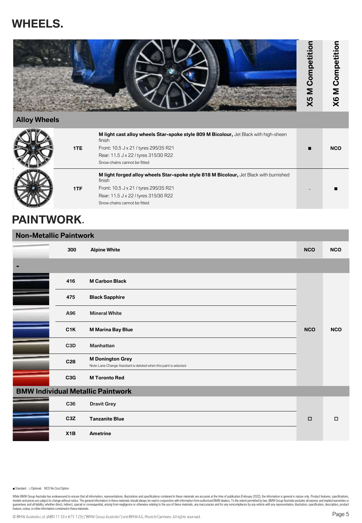# **WHEELS.**



## **Alloy Wheels**

| 1TE | M light cast alloy wheels Star-spoke style 809 M Bicolour, Jet Black with high-sheen<br>finish<br>Front: 10.5 J x 21 / tyres 295/35 R21<br>Rear: 11.5 J x 22 / tyres 315/30 R22<br>Snow chains cannot be fitted  | <b>NCO</b> |
|-----|------------------------------------------------------------------------------------------------------------------------------------------------------------------------------------------------------------------|------------|
| 1TF | M light forged alloy wheels Star-spoke style 818 M Bicolour, Jet Black with burnished<br>finish<br>Front: 10.5 J x 21 / tyres 295/35 R21<br>Rear: 11.5 J x 22 / tyres 315/30 R22<br>Snow chains cannot be fitted |            |

# **PAINTWORK**.

| <b>Non-Metallic Paintwork</b> |                  |                                                                                               |            |            |
|-------------------------------|------------------|-----------------------------------------------------------------------------------------------|------------|------------|
|                               | 300              | <b>Alpine White</b>                                                                           | <b>NCO</b> | <b>NCO</b> |
|                               |                  |                                                                                               |            |            |
|                               | 416              | <b>M Carbon Black</b>                                                                         |            |            |
|                               | 475              | <b>Black Sapphire</b>                                                                         |            |            |
|                               | A96              | <b>Mineral White</b>                                                                          |            |            |
|                               | C1K              | <b>M Marina Bay Blue</b>                                                                      | <b>NCO</b> | <b>NCO</b> |
|                               | C <sub>3</sub> D | <b>Manhattan</b>                                                                              |            |            |
|                               | C28              | <b>M Donington Grey</b><br>Note: Lane Change Assistant is deleted when this paint is selected |            |            |
|                               | C3G              | <b>M Toronto Red</b>                                                                          |            |            |
|                               |                  | <b>BMW Individual Metallic Paintwork</b>                                                      |            |            |
|                               | C36              | <b>Dravit Grey</b>                                                                            |            |            |
|                               | C <sub>3</sub> Z | <b>Tanzanite Blue</b>                                                                         | $\Box$     | $\Box$     |
|                               | X1B              | <b>Ametrine</b>                                                                               |            |            |

■ Standard □ Optional NCO No Cost Option

While BMW Group Australia has endeavoured to ensure that all information, representations, illustrations and specifications contained in these materials are accurate at the time of publication (Forbust 2022), the informati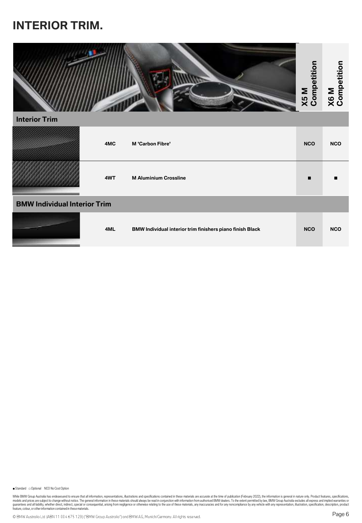# **INTERIOR TRIM.**



|                                     | 4MC | <b>M</b> 'Carbon Fibre'                                   | <b>NCO</b> | <b>NCO</b> |
|-------------------------------------|-----|-----------------------------------------------------------|------------|------------|
|                                     | 4WT | <b>M Aluminium Crossline</b>                              | ▪          |            |
| <b>BMW Individual Interior Trim</b> |     |                                                           |            |            |
|                                     | 4ML | BMW Individual interior trim finishers piano finish Black | <b>NCO</b> | <b>NCO</b> |

■ Standard □ Optional NCO No Cost Option

While BMW Group Australia has endeavoured to ensure that all information, representations, illustrations and specifications contained in these materials are accurate at the time of publication (Forbust 2022), the informati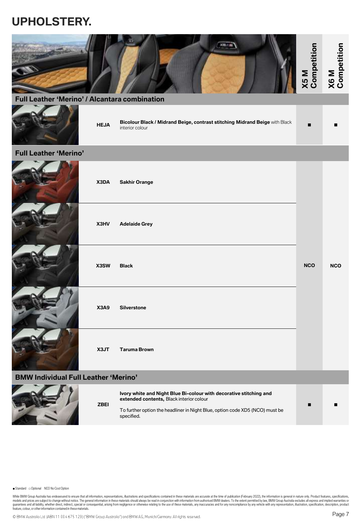# **UPHOLSTERY.**

| Full Leather 'Merino' / Alcantara combination |             |                                                                                                                                                                                                              | X5M<br>Competition | X6M<br>Competition |
|-----------------------------------------------|-------------|--------------------------------------------------------------------------------------------------------------------------------------------------------------------------------------------------------------|--------------------|--------------------|
|                                               | <b>HEJA</b> | Bicolour Black / Midrand Beige, contrast stitching Midrand Beige with Black<br>interior colour                                                                                                               | п                  |                    |
| <b>Full Leather 'Merino'</b>                  |             |                                                                                                                                                                                                              |                    |                    |
|                                               | X3DA        | <b>Sakhir Orange</b>                                                                                                                                                                                         |                    |                    |
|                                               | X3HV        | <b>Adelaide Grey</b>                                                                                                                                                                                         |                    |                    |
|                                               | X3SW        | <b>Black</b>                                                                                                                                                                                                 | <b>NCO</b>         | <b>NCO</b>         |
|                                               | <b>X3A9</b> | <b>Silverstone</b>                                                                                                                                                                                           |                    |                    |
|                                               | X3JT        | <b>Taruma Brown</b>                                                                                                                                                                                          |                    |                    |
| <b>BMW Individual Full Leather 'Merino'</b>   |             |                                                                                                                                                                                                              |                    |                    |
|                                               | <b>ZBEI</b> | Ivory white and Night Blue Bi-colour with decorative stitching and<br>extended contents, Black interior colour<br>To further option the headliner in Night Blue, option code XD5 (NCO) must be<br>specified. | ■                  |                    |

■ Standard □ Optional NCO No Cost Option

**PERSONAL PROPERTY** 

While BMW Group Australia has endeavoured to ensure that all information, representations, illustrations and specifications contained in these materials are accurate at the time of publication (Forbust 2022), the informati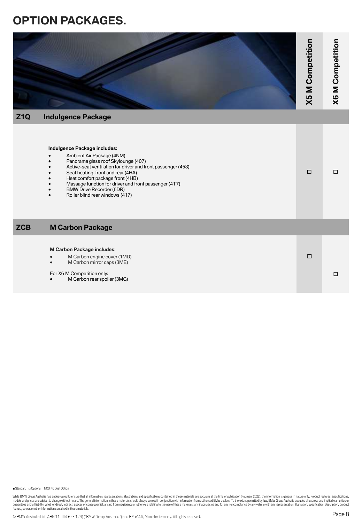# **OPTION PACKAGES.**

| Z1Q        | <b>Indulgence Package</b>                                                                                                                                                                                                                                                                                                                                                 | X5 M Competition | X6 M Competition |
|------------|---------------------------------------------------------------------------------------------------------------------------------------------------------------------------------------------------------------------------------------------------------------------------------------------------------------------------------------------------------------------------|------------------|------------------|
|            | Indulgence Package includes:<br>Ambient Air Package (4NM)<br>Panorama glass roof Skylounge (407)<br>Active-seat ventilation for driver and front passenger (453)<br>Seat heating, front and rear (4HA)<br>Heat comfort package front (4HB)<br>Massage function for driver and front passenger (4T7)<br><b>BMW Drive Recorder (6DR)</b><br>Roller blind rear windows (417) | $\Box$           | □                |
| <b>ZCB</b> | <b>M Carbon Package</b>                                                                                                                                                                                                                                                                                                                                                   |                  |                  |
|            | <b>M Carbon Package includes:</b><br>M Carbon engine cover (1MD)<br>M Carbon mirror caps (3ME)<br>For X6 M Competition only:<br>M Carbon rear spoiler (3MG)                                                                                                                                                                                                               | $\Box$           | $\Box$           |

■ Standard □ Optional NCO No Cost Option

While BMW Group Australia has endeavoured to ensure that all information, representations, illustrations and specifications contained in these materials are accurate at the time of publication (Forbust 2022), the informati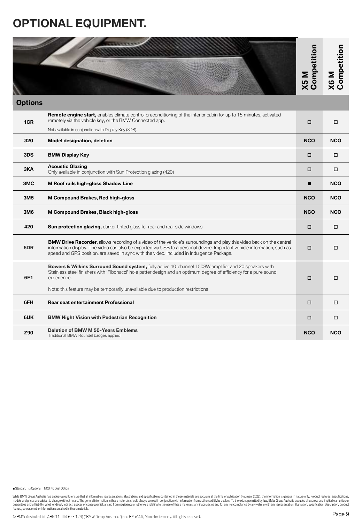# **OPTIONAL EQUIPMENT.**

|                |                                                                                                                                                                                                                                                                                                                                                        | Competition<br>N <sub>5</sub> M | Competition<br>M <sub>9X</sub> |
|----------------|--------------------------------------------------------------------------------------------------------------------------------------------------------------------------------------------------------------------------------------------------------------------------------------------------------------------------------------------------------|---------------------------------|--------------------------------|
| <b>Options</b> |                                                                                                                                                                                                                                                                                                                                                        |                                 |                                |
| 1CR            | <b>Remote engine start,</b> enables climate control preconditioning of the interior cabin for up to 15 minutes, activated<br>remotely via the vehicle key, or the BMW Connected app.                                                                                                                                                                   | α                               | о                              |
|                | Not available in conjunction with Display Key (3DS).                                                                                                                                                                                                                                                                                                   |                                 |                                |
| 320            | <b>Model designation, deletion</b>                                                                                                                                                                                                                                                                                                                     | <b>NCO</b>                      | <b>NCO</b>                     |
| 3DS            | <b>BMW Display Key</b>                                                                                                                                                                                                                                                                                                                                 | □                               | □                              |
| 3KA            | <b>Acoustic Glazing</b><br>Only available in conjunction with Sun Protection glazing (420)                                                                                                                                                                                                                                                             | 0                               | □                              |
| 3MC            | M Roof rails high-gloss Shadow Line                                                                                                                                                                                                                                                                                                                    | п                               | <b>NCO</b>                     |
| 3M5            | M Compound Brakes, Red high-gloss                                                                                                                                                                                                                                                                                                                      | <b>NCO</b>                      | <b>NCO</b>                     |
| ЗМ6            | M Compound Brakes, Black high-gloss                                                                                                                                                                                                                                                                                                                    | <b>NCO</b>                      | <b>NCO</b>                     |
| 420            | <b>Sun protection glazing,</b> darker tinted glass for rear and rear side windows                                                                                                                                                                                                                                                                      | о                               | □                              |
| 6DR            | <b>BMW Drive Recorder</b> , allows recording of a video of the vehicle's surroundings and play this video back on the central<br>information display. The video can also be exported via USB to a personal device. Important vehicle information, such as<br>speed and GPS position, are saved in sync with the video. Included in Indulgence Package. |                                 | □                              |
| 6F1            | Bowers & Wilkins Surround Sound system, fully active 10-channel 1508W amplifier and 20 speakers with<br>Stainless steel finishers with 'Fibonacci' hole patter design and an optimum degree of efficiency for a pure sound<br>experience.                                                                                                              | о                               | □                              |
|                | Note: this feature may be temporarily unavailable due to production restrictions                                                                                                                                                                                                                                                                       |                                 |                                |
| 6FH            | <b>Rear seat entertainment Professional</b>                                                                                                                                                                                                                                                                                                            | □                               | □                              |
| 6UK            | <b>BMW Night Vision with Pedestrian Recognition</b>                                                                                                                                                                                                                                                                                                    |                                 | □                              |
| Z90            | <b>Deletion of BMW M 50-Years Emblems</b><br>Traditional BMW Roundel badges applied                                                                                                                                                                                                                                                                    | <b>NCO</b>                      | <b>NCO</b>                     |

■ Standard □ Optional NCO No Cost Option

While BMW Group Australia has endeavoured to ensure that all information, representations, illustrations and specifications contained in these materials are accurate at the time of publication (Forbust 2022), the informati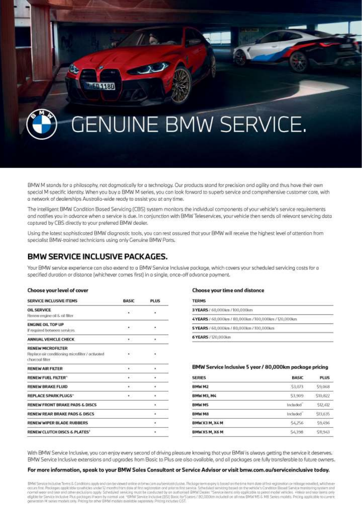

BMW M stands for a philosophy, not dogmatically for a technology. Our products stand for precision and agility and thus have their own special M specific identity. When you buy a BMW M series, you can look forward to superb service and comprehensive customer care, with a network of dealerships Australia-wide ready to assist you at any time.

The intelligent BMW Condition Bosed Servicing (CBS) system monitors the individual components of your vehicle's service requirements and notifies you in advance when a service is due. In conjunction with BMW Teleservices, your vehicle then sends all relevant servicing data coptured by CBS directly to your preferred BMW dealer.

Using the lotest sophisticated BMW diagnostic tools, you can rest assured that your BMW will receive the highest level of attention from specialist BMW-trained technicians using only Genuine BMW Ports.

## **BMW SERVICE INCLUSIVE PACKAGES.**

Your BMW service experience can also extend to a BMW Service Inclusive package, which covers your scheduled servicing costs for a specified duration or distance (whichever comes first) in a single, once-off advance payment.

#### Choose your level of cover

| SERVICE INCLUSIVE ITEMS                          | <b>BASIC</b> | PLUS |  |
|--------------------------------------------------|--------------|------|--|
| <b>OIL SERVICE</b>                               | ಾ            | V    |  |
| Reciew engine oil & oil filter                   |              |      |  |
| <b>ENGINE OIL TOP UP</b>                         |              |      |  |
| If required between services.                    |              | ٠    |  |
| ANNUAL VEHICLE CHECK                             | <b>1959</b>  |      |  |
| <b>RENEW MICROFILTER</b>                         |              |      |  |
| Replace air conditioning microfilter / activated | $\bullet$    | hΘ   |  |
| charroal fiker                                   |              |      |  |
| <b>RENEW AIR FILTER</b>                          | $\cdots$     | ٠    |  |
| <b>RENEW FUEL FILTER*</b>                        | <b>CALL</b>  |      |  |
| <b>RENEW BRAKE FLUID</b>                         | 1.901        |      |  |
| <b>REPLACE SPARK PLUGS"</b>                      | 595          | ٠    |  |
| RENEW FRONT BRAKE PADS & DISCS                   |              | ٠    |  |
| RENEW REAR BRAKE PADS & DISCS                    |              |      |  |
| <b>RENEW WIPER BLADE RUBBERS</b>                 |              | ٠    |  |
| RENEW CLUTCH DISCS & PLATES*                     |              |      |  |

#### Choose your time and distance

| <b>TERMS</b>                                        |  |
|-----------------------------------------------------|--|
| 3 YEARS / 60,000km / 100,000km                      |  |
| 4YEARS / 60.000km / 80.000km /100.000km / 120.000km |  |
| 5 YEARS / 60,000km / 80,000km / 100,000km           |  |
| 6 YEARS / 120,000km                                 |  |

#### BMW Service Inclusive 5 year / 80,000km package pricing

| <b>SERIES</b>     | BASIC   | PLUS          |
|-------------------|---------|---------------|
| BMW M2            | \$3,073 | 59,068        |
| <b>BMW M3, M4</b> | \$3,909 | S10.B22       |
| <b>BMWMS</b>      | Induded | \$12,412      |
| <b>BMW M8</b>     | Induded | \$13,635      |
| BMW X3 M, X4 M    | \$4,256 | 59,496        |
| BMW X5 M, X6 M    | S4.398  | <b>STL943</b> |

With BMW Service Inclusive, you can enjoy every second of driving pleasure knowing that your BMW is always getting the service it deserves. BMW Service Inclusive extensions and upgrades from Basic to Plus are also available, and all packages are fully transferable to future owners.

#### For more information, speak to your BMW Sales Consultant or Service Advisor or visit bmw.com.au/serviceinclusive today.

EMW Service Inclusive Terms & Conditions opply and can be viewed online or britw.com au/service inclusive. Package term expiry is based on the time from date of first registration crimilleage moveled, whichever and secretarism is the product of the conduction of the conduction of price in the secretary secretary secretary and conduct to the conduct of the conduction of the secretary of the conduction of the conduction of the cond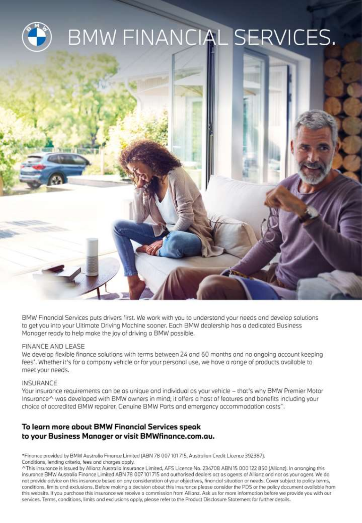

BMW Financial Services puts drivers first. We work with you to understand your needs and develop solutions to get you into your Ultimate Driving Machine sooner. Each BMW dealership has a dedicated Business Manager ready to help make the joy of driving a BMW possible.

## FINANCE AND LEASE

We develop flexible finance solutions with terms between 24 and 60 months and no ongoing account keeping fees". Whether it's for a company vehicle or for your personal use, we have a range of products available to meet your needs.

## INSURANCE

Your insurance requirements can be as unique and individual as your vehicle - that's why BMW Premier Motor Insurance^ was developed with BMW owners in mind; it offers a host of features and benefits including your choice of accredited BMW repairer, Genuine BMW Parts and emergency accommodation costs<sup>^</sup>.

# To learn more about BMW Financial Services speak to your Business Manager or visit BMWfinance.com.au.

\*Finance provided by BMW Australia Finance Limited (ABN 78 007 101 715, Australian Credit Licence 392387). Conditions, lending criteria, fees and charges apply.

^This insurance is issued by Allianz Australia Insurance Limited, AFS Licence No. 234708 ABN 15 000 122 850 (Allianz). In arranging this insurance BMW Australia Finance Limited ABN 78 007 101 715 and authorised dealers act as agents of Allianz and not as your agent. We do not provide advice on this insurance based on any consideration of your objectives, financial situation or needs. Cover subject to policy terms, conditions, limits and exclusions. Before making a decision about this insurance please consider the PDS or the policy document available from this website. If you purchase this insurance we receive a commission from Allianz. Ask us for more information before we provide you with our services. Terms, conditions, limits and exclusions apply, please refer to the Product Disclosure Statement for further details.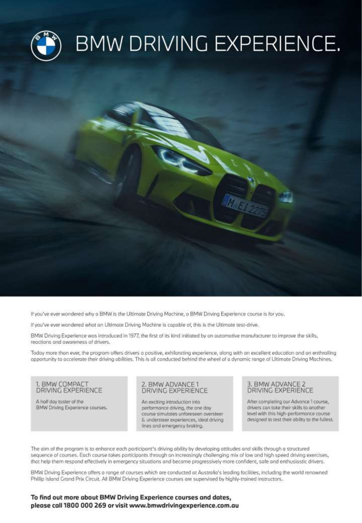

If you've ever wondered why a BMW is the Ultimate Driving Machine, a BMW Driving Experience course is for you.

If you've ever wondered what an Ultimate Driving Machine is capable of, this is the Ultimate test-drive.

BMW Driving Experience was introduced in 1977, the first of its kind initiated by an automotive manufacturer to improve the skills, reactions and awareness of drivers.

Today more than ever, the program offers drivers a positive, exhilarating experience, along with an excellent education and an enthralling opportunity to accelerate their driving abilities. This is all canducted behind the wheel of a dynamic range of Ultimate Driving Machines.

# 1. BMW COMPACT<br>DRIVING EXPERIENCE

A half day taster of the BMW Driving Experience courses.

## . BMW ADVANCE1 DRIVING EXPERIENCE

An exciting introduction into performance driving, the one day course simulates unforeseen oversteer & understeer experiences, ideal driving lines and emergency braking.

## **BMW ADVANCE 2** DRIVING EXPERIENCE

After completing our Advance 1 course, drivers can take their skills to another level with this high-performance course designed to test their ability to the fullest.

The aim of the program is to enhance each participant's driving ability by developing attitudes and skills through a structured sequence of courses. Each course takes participants through an increasingly challenging mix of low and high speed driving exercises, that help them respond effectively in emergency situations and become progressively more confident, safe and enthusiastic drivers.

BMW Driving Experience offers a range of courses which are conducted at Australia's leading facilities, including the world renowned Phillip Island Grand Prix Circuit. All BMW Driving Experience courses are supervised by highly-trained instructors.

## To find out more about BMW Driving Experience courses and dates, please call 1800 000 269 or visit www.bmwdrivingexperience.com.au